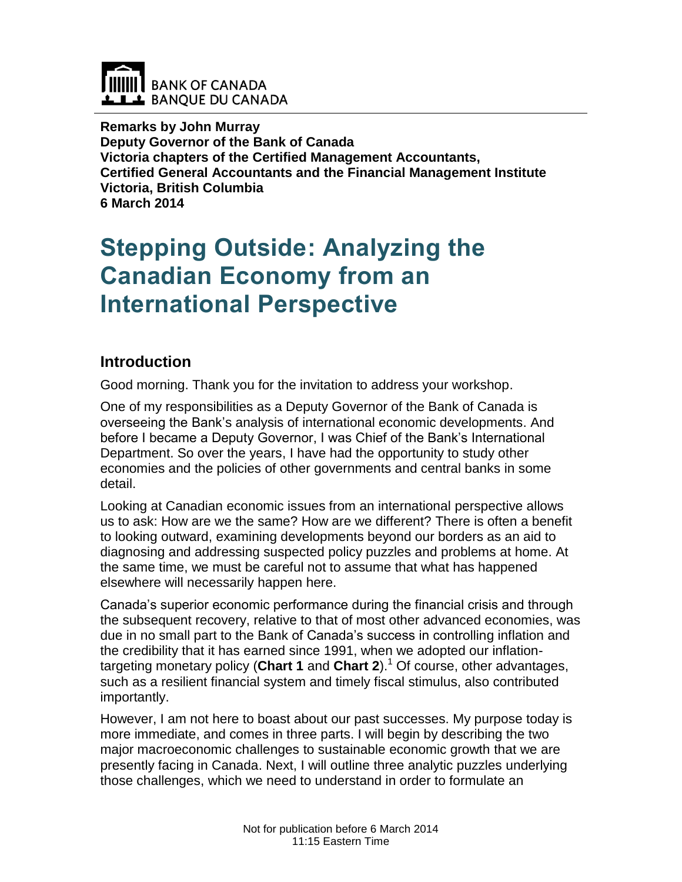

**Remarks by John Murray Deputy Governor of the Bank of Canada Victoria chapters of the Certified Management Accountants, Certified General Accountants and the Financial Management Institute Victoria, British Columbia 6 March 2014**

# **Stepping Outside: Analyzing the Canadian Economy from an International Perspective**

# **Introduction**

Good morning. Thank you for the invitation to address your workshop.

One of my responsibilities as a Deputy Governor of the Bank of Canada is overseeing the Bank's analysis of international economic developments. And before I became a Deputy Governor, I was Chief of the Bank's International Department. So over the years, I have had the opportunity to study other economies and the policies of other governments and central banks in some detail.

Looking at Canadian economic issues from an international perspective allows us to ask: How are we the same? How are we different? There is often a benefit to looking outward, examining developments beyond our borders as an aid to diagnosing and addressing suspected policy puzzles and problems at home. At the same time, we must be careful not to assume that what has happened elsewhere will necessarily happen here.

Canada's superior economic performance during the financial crisis and through the subsequent recovery, relative to that of most other advanced economies, was due in no small part to the Bank of Canada's success in controlling inflation and the credibility that it has earned since 1991, when we adopted our inflationtargeting monetary policy (Chart 1 and Chart 2).<sup>1</sup> Of course, other advantages, such as a resilient financial system and timely fiscal stimulus, also contributed importantly.

However, I am not here to boast about our past successes. My purpose today is more immediate, and comes in three parts. I will begin by describing the two major macroeconomic challenges to sustainable economic growth that we are presently facing in Canada. Next, I will outline three analytic puzzles underlying those challenges, which we need to understand in order to formulate an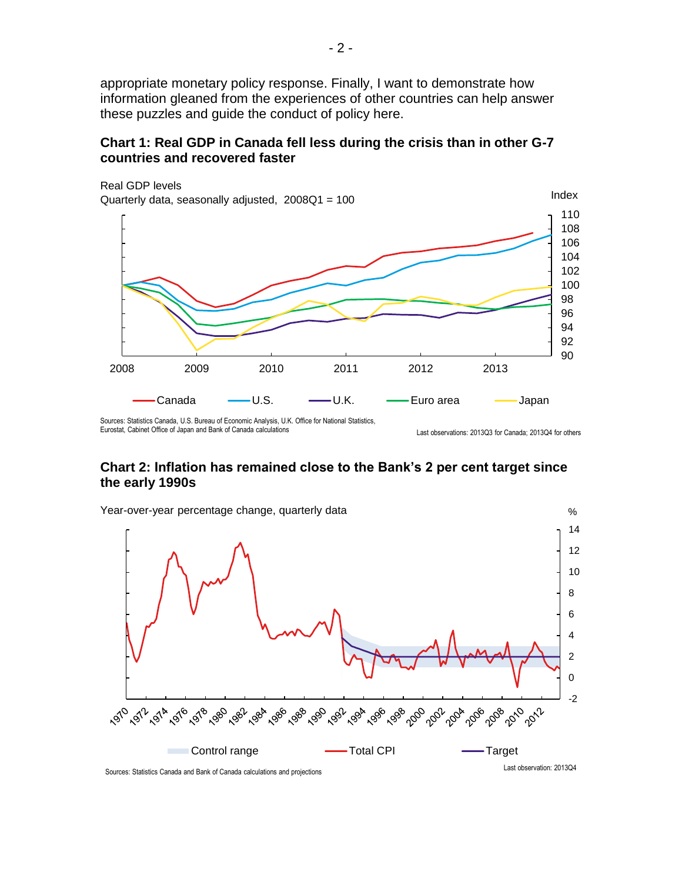appropriate monetary policy response. Finally, I want to demonstrate how information gleaned from the experiences of other countries can help answer these puzzles and guide the conduct of policy here.

### **Chart 1: Real GDP in Canada fell less during the crisis than in other G-7 countries and recovered faster**



Eurostat, Cabinet Office of Japan and Bank of Canada calculations

#### **Chart 2: Inflation has remained close to the Bank's 2 per cent target since the early 1990s**

Last observations: 2013Q3 for Canada; 2013Q4 for others

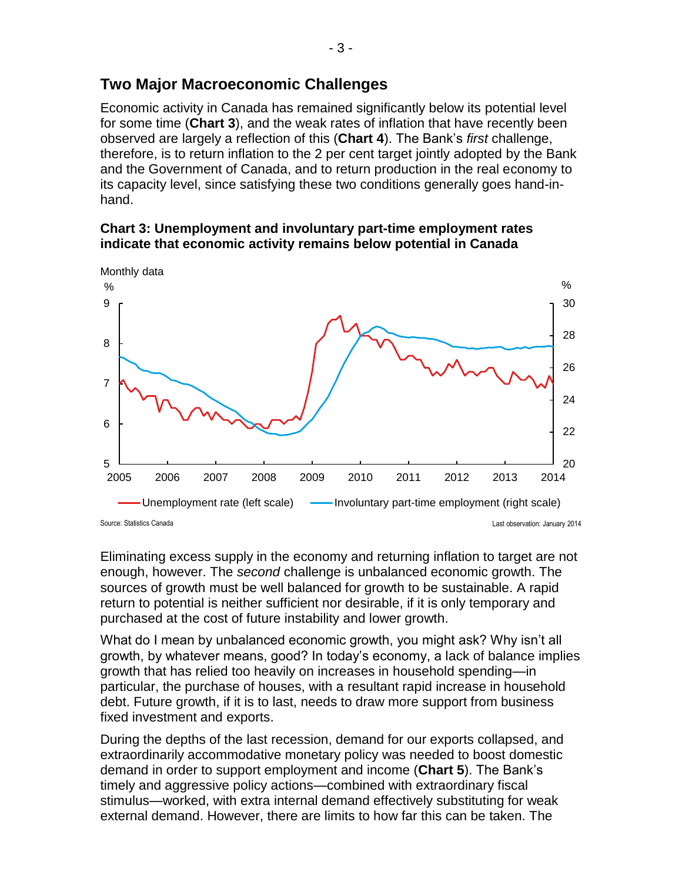# **Two Major Macroeconomic Challenges**

Economic activity in Canada has remained significantly below its potential level for some time (**Chart 3**), and the weak rates of inflation that have recently been observed are largely a reflection of this (**Chart 4**). The Bank's *first* challenge, therefore, is to return inflation to the 2 per cent target jointly adopted by the Bank and the Government of Canada, and to return production in the real economy to its capacity level, since satisfying these two conditions generally goes hand-inhand.





Eliminating excess supply in the economy and returning inflation to target are not enough, however. The *second* challenge is unbalanced economic growth. The sources of growth must be well balanced for growth to be sustainable. A rapid return to potential is neither sufficient nor desirable, if it is only temporary and purchased at the cost of future instability and lower growth.

What do I mean by unbalanced economic growth, you might ask? Why isn't all growth, by whatever means, good? In today's economy, a lack of balance implies growth that has relied too heavily on increases in household spending—in particular, the purchase of houses, with a resultant rapid increase in household debt. Future growth, if it is to last, needs to draw more support from business fixed investment and exports.

During the depths of the last recession, demand for our exports collapsed, and extraordinarily accommodative monetary policy was needed to boost domestic demand in order to support employment and income (**Chart 5**). The Bank's timely and aggressive policy actions—combined with extraordinary fiscal stimulus—worked, with extra internal demand effectively substituting for weak external demand. However, there are limits to how far this can be taken. The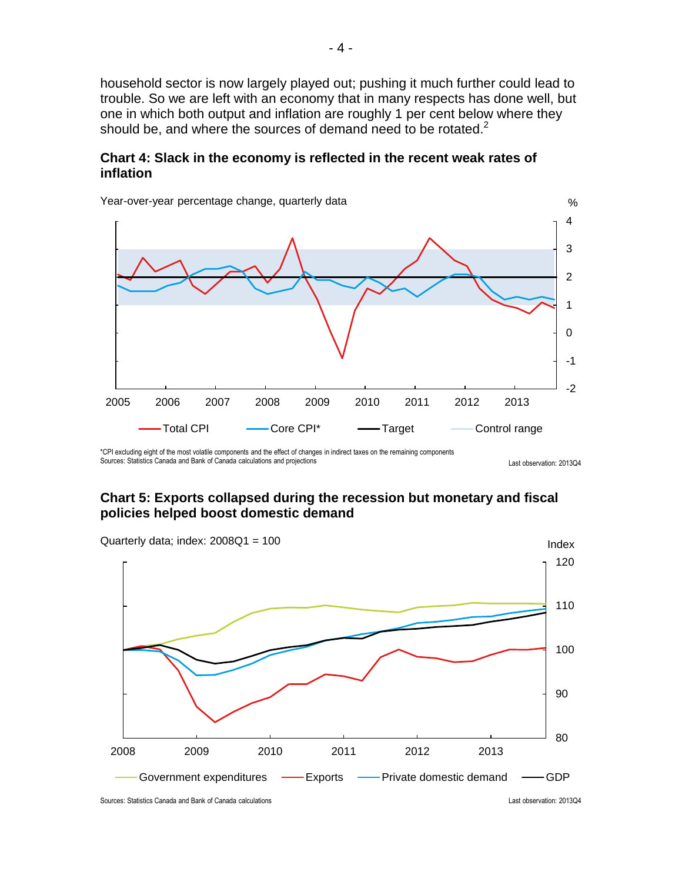household sector is now largely played out; pushing it much further could lead to trouble. So we are left with an economy that in many respects has done well, but one in which both output and inflation are roughly 1 per cent below where they should be, and where the sources of demand need to be rotated. $2$ 

#### **Chart 4: Slack in the economy is reflected in the recent weak rates of inflation**



Year-over-year percentage change, quarterly data

\*CPI excluding eight of the most volatile components and the effect of changes in indirect taxes on the remaining components Sources: Statistics Canada and Bank of Canada calculations and projections Last observation: 2013Q4

#### **Chart 5: Exports collapsed during the recession but monetary and fiscal policies helped boost domestic demand**



Sources: Statistics Canada and Bank of Canada calculations Last observation: 2013Q4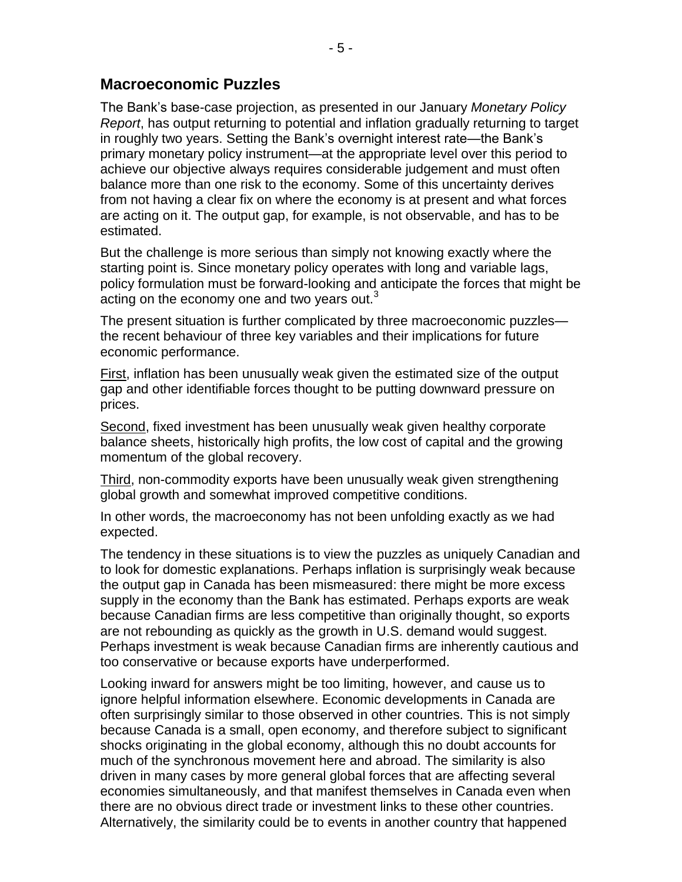# **Macroeconomic Puzzles**

The Bank's base-case projection, as presented in our January *Monetary Policy Report*, has output returning to potential and inflation gradually returning to target in roughly two years. Setting the Bank's overnight interest rate—the Bank's primary monetary policy instrument—at the appropriate level over this period to achieve our objective always requires considerable judgement and must often balance more than one risk to the economy. Some of this uncertainty derives from not having a clear fix on where the economy is at present and what forces are acting on it. The output gap, for example, is not observable, and has to be estimated.

But the challenge is more serious than simply not knowing exactly where the starting point is. Since monetary policy operates with long and variable lags, policy formulation must be forward-looking and anticipate the forces that might be acting on the economy one and two years out. $3$ 

The present situation is further complicated by three macroeconomic puzzles the recent behaviour of three key variables and their implications for future economic performance.

First, inflation has been unusually weak given the estimated size of the output gap and other identifiable forces thought to be putting downward pressure on prices.

Second, fixed investment has been unusually weak given healthy corporate balance sheets, historically high profits, the low cost of capital and the growing momentum of the global recovery.

Third, non-commodity exports have been unusually weak given strengthening global growth and somewhat improved competitive conditions.

In other words, the macroeconomy has not been unfolding exactly as we had expected.

The tendency in these situations is to view the puzzles as uniquely Canadian and to look for domestic explanations. Perhaps inflation is surprisingly weak because the output gap in Canada has been mismeasured: there might be more excess supply in the economy than the Bank has estimated. Perhaps exports are weak because Canadian firms are less competitive than originally thought, so exports are not rebounding as quickly as the growth in U.S. demand would suggest. Perhaps investment is weak because Canadian firms are inherently cautious and too conservative or because exports have underperformed.

Looking inward for answers might be too limiting, however, and cause us to ignore helpful information elsewhere. Economic developments in Canada are often surprisingly similar to those observed in other countries. This is not simply because Canada is a small, open economy, and therefore subject to significant shocks originating in the global economy, although this no doubt accounts for much of the synchronous movement here and abroad. The similarity is also driven in many cases by more general global forces that are affecting several economies simultaneously, and that manifest themselves in Canada even when there are no obvious direct trade or investment links to these other countries. Alternatively, the similarity could be to events in another country that happened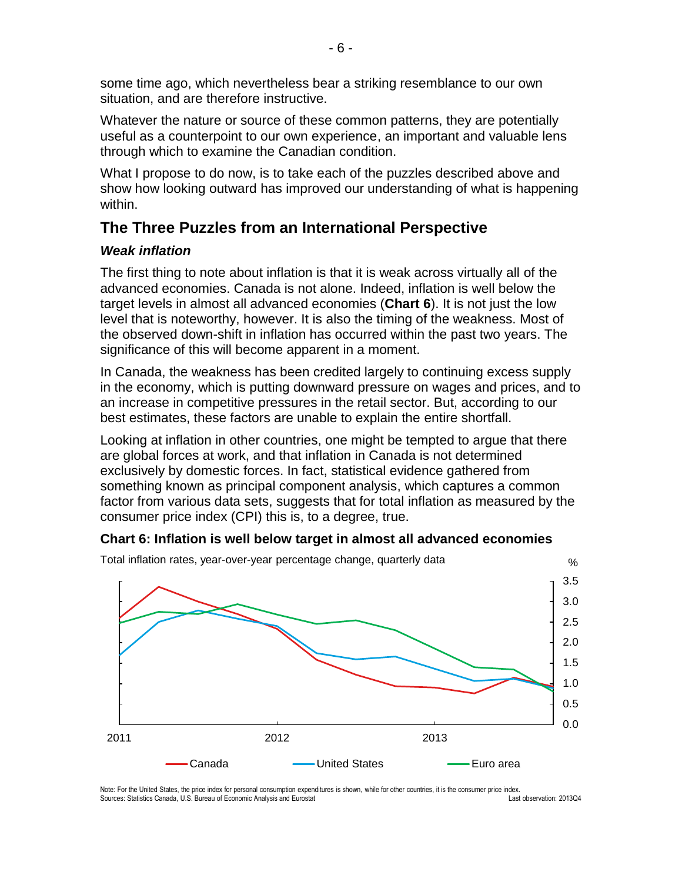some time ago, which nevertheless bear a striking resemblance to our own situation, and are therefore instructive.

Whatever the nature or source of these common patterns, they are potentially useful as a counterpoint to our own experience, an important and valuable lens through which to examine the Canadian condition.

What I propose to do now, is to take each of the puzzles described above and show how looking outward has improved our understanding of what is happening within.

# **The Three Puzzles from an International Perspective**

### *Weak inflation*

The first thing to note about inflation is that it is weak across virtually all of the advanced economies. Canada is not alone. Indeed, inflation is well below the target levels in almost all advanced economies (**Chart 6**). It is not just the low level that is noteworthy, however. It is also the timing of the weakness. Most of the observed down-shift in inflation has occurred within the past two years. The significance of this will become apparent in a moment.

In Canada, the weakness has been credited largely to continuing excess supply in the economy, which is putting downward pressure on wages and prices, and to an increase in competitive pressures in the retail sector. But, according to our best estimates, these factors are unable to explain the entire shortfall.

Looking at inflation in other countries, one might be tempted to argue that there are global forces at work, and that inflation in Canada is not determined exclusively by domestic forces. In fact, statistical evidence gathered from something known as principal component analysis, which captures a common factor from various data sets, suggests that for total inflation as measured by the consumer price index (CPI) this is, to a degree, true.

### **Chart 6: Inflation is well below target in almost all advanced economies**



Last observation: 2013Q4 Note: For the United States, the price index for personal consumption expenditures is shown, while for other countries, it is the consumer price index. Sources: Statistics Canada, U.S. Bureau of Economic Analysis and Eurostat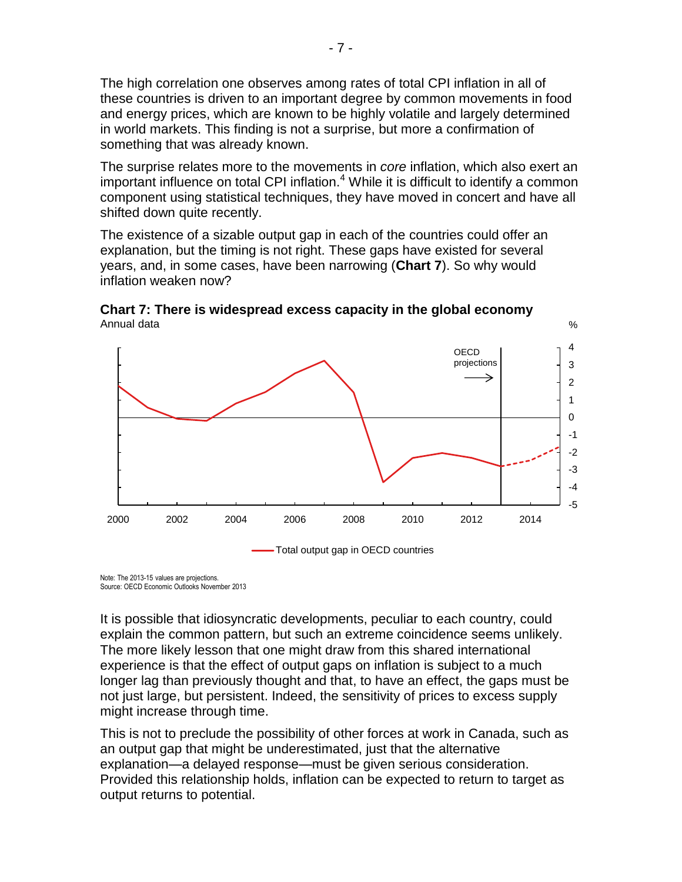The high correlation one observes among rates of total CPI inflation in all of these countries is driven to an important degree by common movements in food and energy prices, which are known to be highly volatile and largely determined in world markets. This finding is not a surprise, but more a confirmation of something that was already known.

The surprise relates more to the movements in *core* inflation, which also exert an important influence on total CPI inflation. $4$  While it is difficult to identify a common component using statistical techniques, they have moved in concert and have all shifted down quite recently.

The existence of a sizable output gap in each of the countries could offer an explanation, but the timing is not right. These gaps have existed for several years, and, in some cases, have been narrowing (**Chart 7**). So why would inflation weaken now?



%



Total output gap in OECD countries

Note: The 2013-15 values are projections. Source: OECD Economic Outlooks November 2013

It is possible that idiosyncratic developments, peculiar to each country, could explain the common pattern, but such an extreme coincidence seems unlikely. The more likely lesson that one might draw from this shared international experience is that the effect of output gaps on inflation is subject to a much longer lag than previously thought and that, to have an effect, the gaps must be not just large, but persistent. Indeed, the sensitivity of prices to excess supply might increase through time.

This is not to preclude the possibility of other forces at work in Canada, such as an output gap that might be underestimated, just that the alternative explanation—a delayed response—must be given serious consideration. Provided this relationship holds, inflation can be expected to return to target as output returns to potential.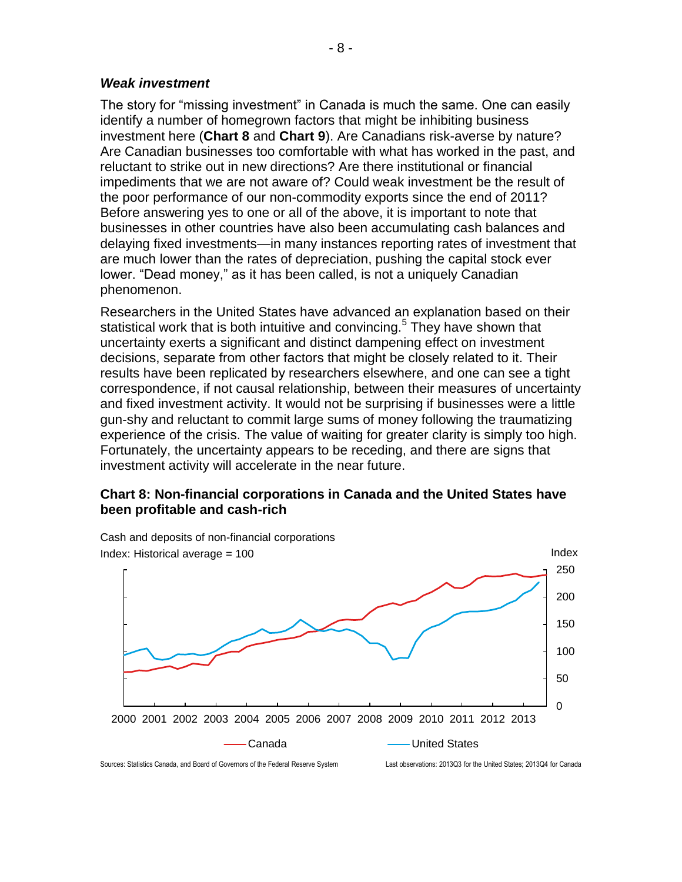#### *Weak investment*

The story for "missing investment" in Canada is much the same. One can easily identify a number of homegrown factors that might be inhibiting business investment here (**Chart 8** and **Chart 9**). Are Canadians risk-averse by nature? Are Canadian businesses too comfortable with what has worked in the past, and reluctant to strike out in new directions? Are there institutional or financial impediments that we are not aware of? Could weak investment be the result of the poor performance of our non-commodity exports since the end of 2011? Before answering yes to one or all of the above, it is important to note that businesses in other countries have also been accumulating cash balances and delaying fixed investments—in many instances reporting rates of investment that are much lower than the rates of depreciation, pushing the capital stock ever lower. "Dead money," as it has been called, is not a uniquely Canadian phenomenon.

Researchers in the United States have advanced an explanation based on their statistical work that is both intuitive and convincing.<sup>5</sup> They have shown that uncertainty exerts a significant and distinct dampening effect on investment decisions, separate from other factors that might be closely related to it. Their results have been replicated by researchers elsewhere, and one can see a tight correspondence, if not causal relationship, between their measures of uncertainty and fixed investment activity. It would not be surprising if businesses were a little gun-shy and reluctant to commit large sums of money following the traumatizing experience of the crisis. The value of waiting for greater clarity is simply too high. Fortunately, the uncertainty appears to be receding, and there are signs that investment activity will accelerate in the near future.

### **Chart 8: Non-financial corporations in Canada and the United States have been profitable and cash-rich**

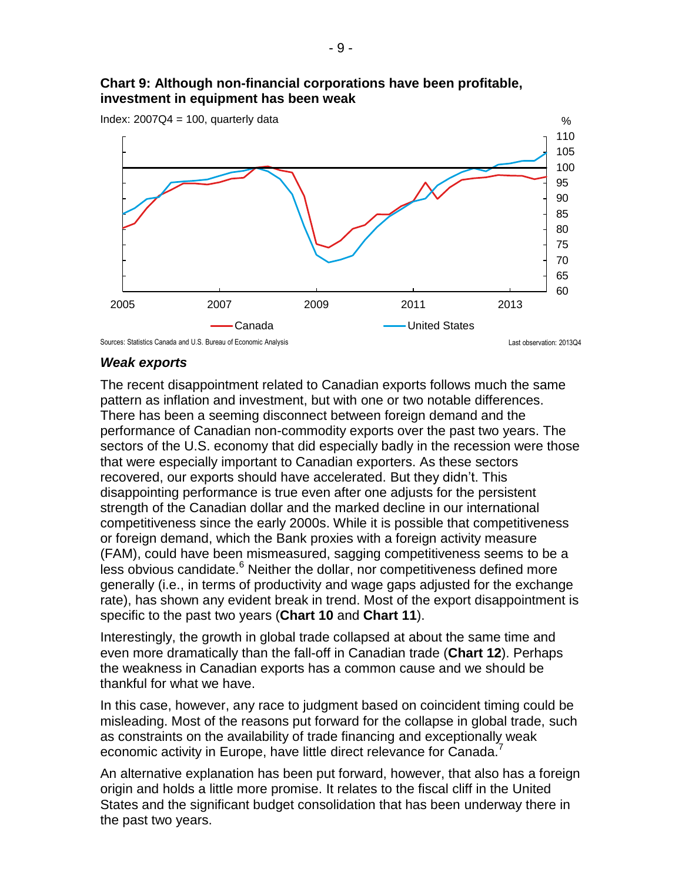#### **Chart 9: Although non-financial corporations have been profitable, investment in equipment has been weak**



#### *Weak exports*

The recent disappointment related to Canadian exports follows much the same pattern as inflation and investment, but with one or two notable differences. There has been a seeming disconnect between foreign demand and the performance of Canadian non-commodity exports over the past two years. The sectors of the U.S. economy that did especially badly in the recession were those that were especially important to Canadian exporters. As these sectors recovered, our exports should have accelerated. But they didn't. This disappointing performance is true even after one adjusts for the persistent strength of the Canadian dollar and the marked decline in our international competitiveness since the early 2000s. While it is possible that competitiveness or foreign demand, which the Bank proxies with a foreign activity measure (FAM), could have been mismeasured, sagging competitiveness seems to be a less obvious candidate.<sup>6</sup> Neither the dollar, nor competitiveness defined more generally (i.e., in terms of productivity and wage gaps adjusted for the exchange rate), has shown any evident break in trend. Most of the export disappointment is specific to the past two years (**Chart 10** and **Chart 11**).

Interestingly, the growth in global trade collapsed at about the same time and even more dramatically than the fall-off in Canadian trade (**Chart 12**). Perhaps the weakness in Canadian exports has a common cause and we should be thankful for what we have.

In this case, however, any race to judgment based on coincident timing could be misleading. Most of the reasons put forward for the collapse in global trade, such as constraints on the availability of trade financing and exceptionally weak economic activity in Europe, have little direct relevance for Canada.

An alternative explanation has been put forward, however, that also has a foreign origin and holds a little more promise. It relates to the fiscal cliff in the United States and the significant budget consolidation that has been underway there in the past two years.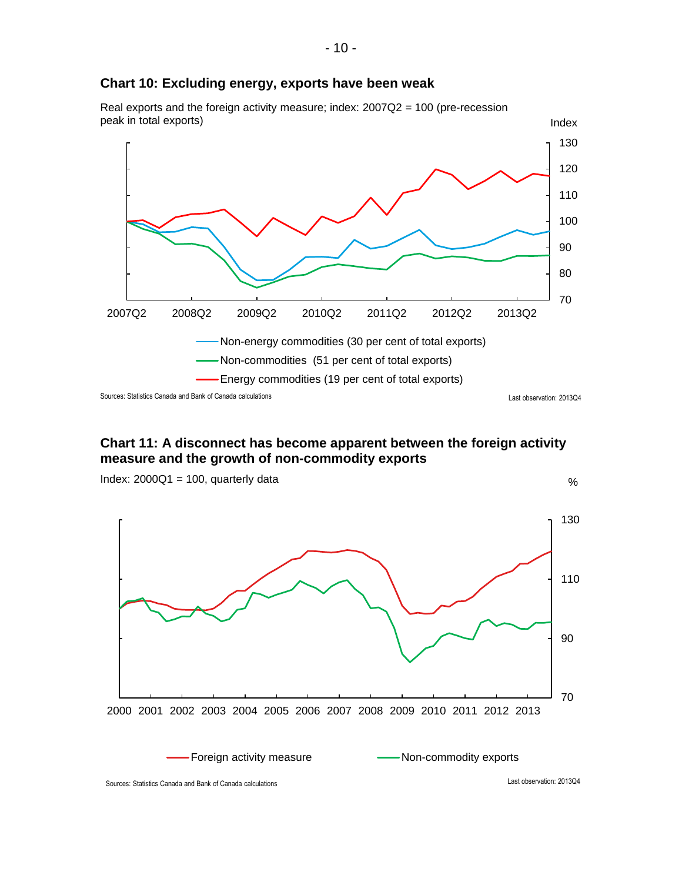

#### **Chart 11: A disconnect has become apparent between the foreign activity measure and the growth of non-commodity exports**



#### **Chart 10: Excluding energy, exports have been weak**

Real exports and the foreign activity measure; index: 2007Q2 = 100 (pre-recession peak in total exports)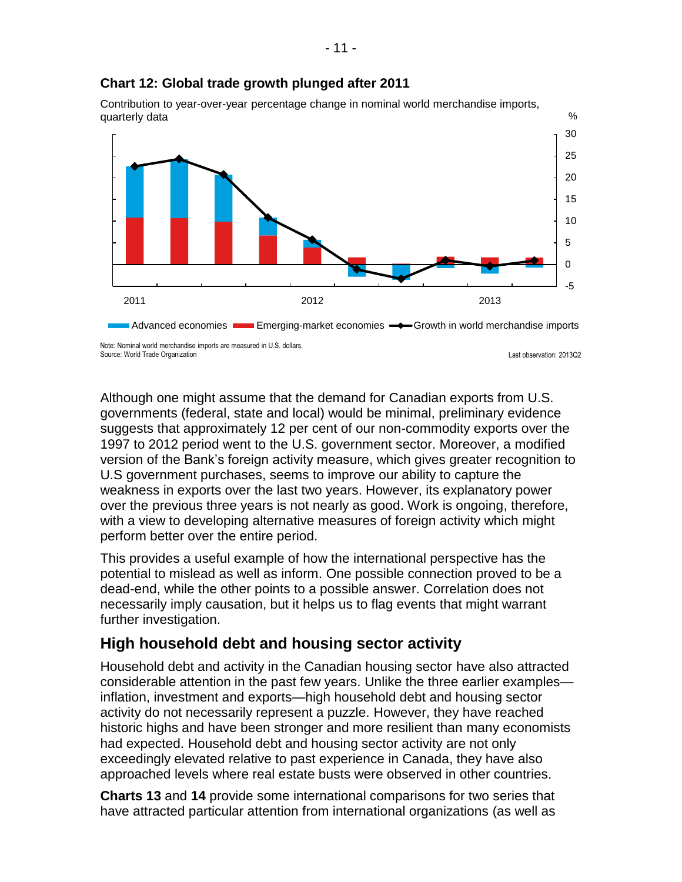

#### **Chart 12: Global trade growth plunged after 2011**

Contribution to year-over-year percentage change in nominal world merchandise imports, quarterly data

Source: World Trade Organization

Last observation: 2013Q2

Although one might assume that the demand for Canadian exports from U.S. governments (federal, state and local) would be minimal, preliminary evidence suggests that approximately 12 per cent of our non-commodity exports over the 1997 to 2012 period went to the U.S. government sector. Moreover, a modified version of the Bank's foreign activity measure, which gives greater recognition to U.S government purchases, seems to improve our ability to capture the weakness in exports over the last two years. However, its explanatory power over the previous three years is not nearly as good. Work is ongoing, therefore, with a view to developing alternative measures of foreign activity which might perform better over the entire period.

This provides a useful example of how the international perspective has the potential to mislead as well as inform. One possible connection proved to be a dead-end, while the other points to a possible answer. Correlation does not necessarily imply causation, but it helps us to flag events that might warrant further investigation.

# **High household debt and housing sector activity**

Household debt and activity in the Canadian housing sector have also attracted considerable attention in the past few years. Unlike the three earlier examples inflation, investment and exports—high household debt and housing sector activity do not necessarily represent a puzzle. However, they have reached historic highs and have been stronger and more resilient than many economists had expected. Household debt and housing sector activity are not only exceedingly elevated relative to past experience in Canada, they have also approached levels where real estate busts were observed in other countries.

**Charts 13** and **14** provide some international comparisons for two series that have attracted particular attention from international organizations (as well as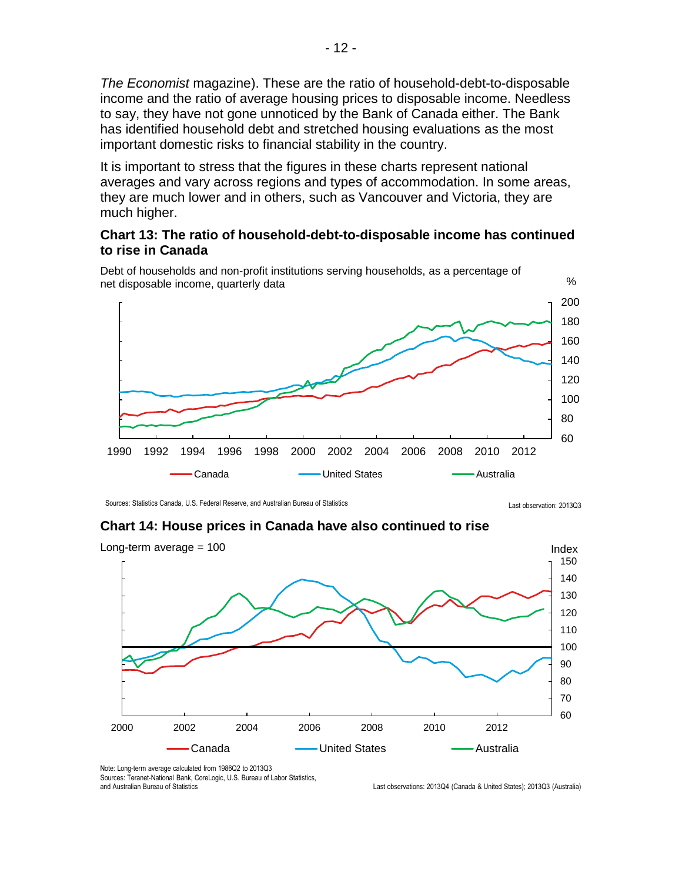*The Economist* magazine). These are the ratio of household-debt-to-disposable income and the ratio of average housing prices to disposable income. Needless to say, they have not gone unnoticed by the Bank of Canada either. The Bank has identified household debt and stretched housing evaluations as the most important domestic risks to financial stability in the country.

It is important to stress that the figures in these charts represent national averages and vary across regions and types of accommodation. In some areas, they are much lower and in others, such as Vancouver and Victoria, they are much higher.

#### **Chart 13: The ratio of household-debt-to-disposable income has continued to rise in Canada**



Debt of households and non-profit institutions serving households, as a percentage of net disposable income, quarterly data

Last observation: 2013Q3 Sources: Statistics Canada, U.S. Federal Reserve, and Australian Bureau of Statistics

#### **Chart 14: House prices in Canada have also continued to rise**



Note: Long-term average calculated from 1986Q2 to 2013Q3

Sources: Teranet-National Bank, CoreLogic, U.S. Bureau of Labor Statistics, and Australian Bureau of Statistics

Last observations: 2013Q4 (Canada & United States); 2013Q3 (Australia)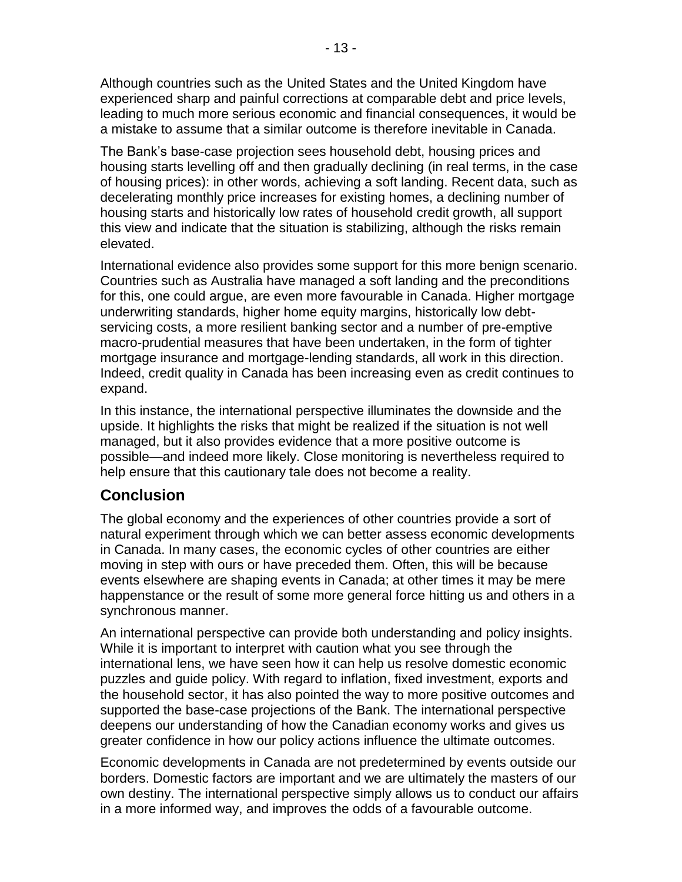Although countries such as the United States and the United Kingdom have experienced sharp and painful corrections at comparable debt and price levels, leading to much more serious economic and financial consequences, it would be a mistake to assume that a similar outcome is therefore inevitable in Canada.

The Bank's base-case projection sees household debt, housing prices and housing starts levelling off and then gradually declining (in real terms, in the case of housing prices): in other words, achieving a soft landing. Recent data, such as decelerating monthly price increases for existing homes, a declining number of housing starts and historically low rates of household credit growth, all support this view and indicate that the situation is stabilizing, although the risks remain elevated.

International evidence also provides some support for this more benign scenario. Countries such as Australia have managed a soft landing and the preconditions for this, one could argue, are even more favourable in Canada. Higher mortgage underwriting standards, higher home equity margins, historically low debtservicing costs, a more resilient banking sector and a number of pre-emptive macro-prudential measures that have been undertaken, in the form of tighter mortgage insurance and mortgage-lending standards, all work in this direction. Indeed, credit quality in Canada has been increasing even as credit continues to expand.

In this instance, the international perspective illuminates the downside and the upside. It highlights the risks that might be realized if the situation is not well managed, but it also provides evidence that a more positive outcome is possible—and indeed more likely. Close monitoring is nevertheless required to help ensure that this cautionary tale does not become a reality.

# **Conclusion**

The global economy and the experiences of other countries provide a sort of natural experiment through which we can better assess economic developments in Canada. In many cases, the economic cycles of other countries are either moving in step with ours or have preceded them. Often, this will be because events elsewhere are shaping events in Canada; at other times it may be mere happenstance or the result of some more general force hitting us and others in a synchronous manner.

An international perspective can provide both understanding and policy insights. While it is important to interpret with caution what you see through the international lens, we have seen how it can help us resolve domestic economic puzzles and guide policy. With regard to inflation, fixed investment, exports and the household sector, it has also pointed the way to more positive outcomes and supported the base-case projections of the Bank. The international perspective deepens our understanding of how the Canadian economy works and gives us greater confidence in how our policy actions influence the ultimate outcomes.

Economic developments in Canada are not predetermined by events outside our borders. Domestic factors are important and we are ultimately the masters of our own destiny. The international perspective simply allows us to conduct our affairs in a more informed way, and improves the odds of a favourable outcome.